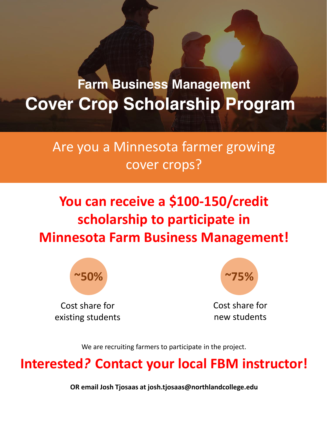# **Farm Business Management Cover Crop Scholarship Program**

## Are you a Minnesota farmer growing cover crops?

## **You can receive a \$100-150/credit scholarship to participate in Minnesota Farm Business Management!**



Cost share for existing students



Cost share for new students

We are recruiting farmers to participate in the project.

### **Interested***?* **Contact your local FBM instructor!**

**OR email Josh Tjosaas at josh.tjosaas@northlandcollege.edu**